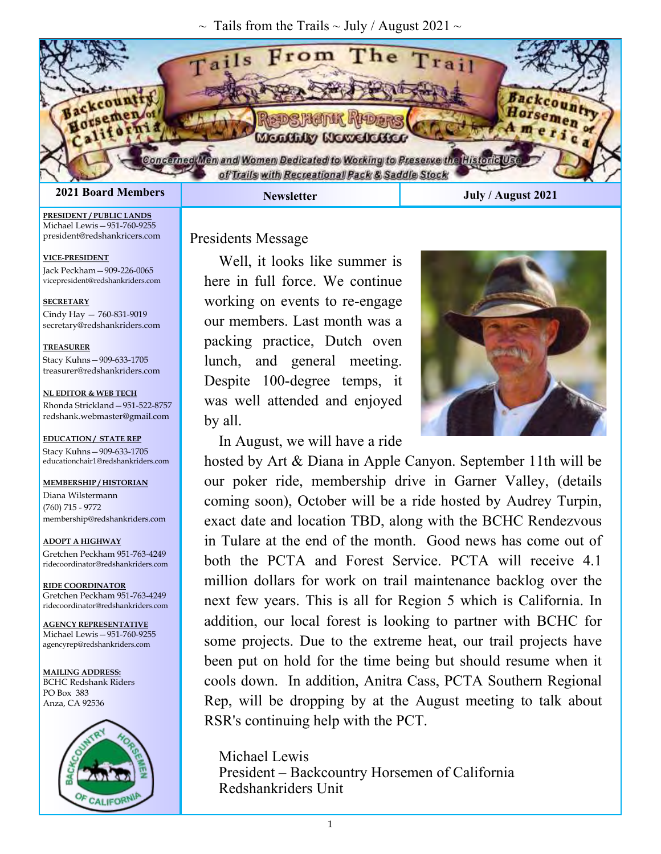$\sim$  Tails from the Trails  $\sim$  July / August 2021  $\sim$ 



**PRESIDENT / PUBLIC LANDS** Michael Lewis—951-760-9255 president@redshankricers.com

**VICE-PRESIDENT**  Jack Peckham—909-226-0065 vicepresident@redshankriders.com

**SECRETARY** Cindy Hay — 760-831-9019 secretary@redshankriders.com

**TREASURER** Stacy Kuhns—909-633-1705 treasurer@redshankriders.com

**NL EDITOR & WEB TECH** Rhonda Strickland—951-522-8757 redshank.webmaster@gmail.com

**EDUCATION/ STATE REP** Stacy Kuhns—909-633-1705 educationchair1@redshankriders.com

#### **MEMBERSHIP / HISTORIAN**

Diana Wilstermann (760) 715 - 9772 membership@redshankriders.com

**ADOPT A HIGHWAY** Gretchen Peckham 951-763-4249 ridecoordinator@redshankriders.com

**RIDE COORDINATOR** Gretchen Peckham 951-763-4249 ridecoordinator@redshankriders.com

**AGENCY REPRESENTATIVE** Michael Lewis—951-760-9255 agencyrep@redshankriders.com

**MAILING ADDRESS:** BCHC Redshank Riders PO Box 383 Anza, CA 92536



Presidents Message

Well, it looks like summer is here in full force. We continue working on events to re-engage our members. Last month was a packing practice, Dutch oven lunch, and general meeting. Despite 100-degree temps, it was well attended and enjoyed by all.



In August, we will have a ride

hosted by Art & Diana in Apple Canyon. September 11th will be our poker ride, membership drive in Garner Valley, (details coming soon), October will be a ride hosted by Audrey Turpin, exact date and location TBD, along with the BCHC Rendezvous in Tulare at the end of the month. Good news has come out of both the PCTA and Forest Service. PCTA will receive 4.1 million dollars for work on trail maintenance backlog over the next few years. This is all for Region 5 which is California. In addition, our local forest is looking to partner with BCHC for some projects. Due to the extreme heat, our trail projects have been put on hold for the time being but should resume when it cools down. In addition, Anitra Cass, PCTA Southern Regional Rep, will be dropping by at the August meeting to talk about RSR's continuing help with the PCT.

Michael Lewis President – Backcountry Horsemen of California Redshankriders Unit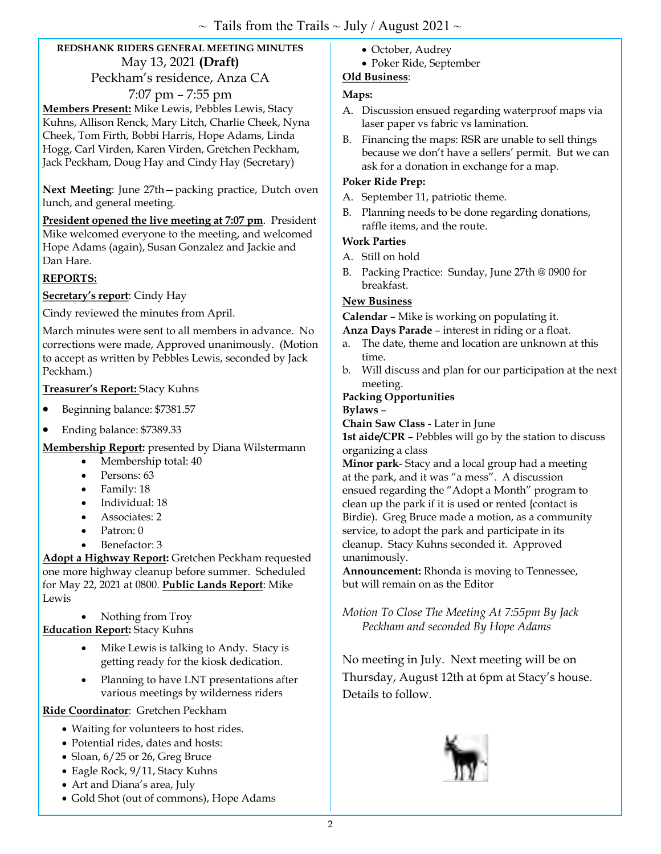# **REDSHANK RIDERS GENERAL MEETING MINUTES**  May 13, 2021 **(Draft)**  Peckham's residence, Anza CA

7:07 pm – 7:55 pm **Members Present:** Mike Lewis, Pebbles Lewis, Stacy Kuhns, Allison Renck, Mary Litch, Charlie Cheek, Nyna Cheek, Tom Firth, Bobbi Harris, Hope Adams, Linda Hogg, Carl Virden, Karen Virden, Gretchen Peckham, Jack Peckham, Doug Hay and Cindy Hay (Secretary)

**Next Meeting**: June 27th—packing practice, Dutch oven lunch, and general meeting.

**President opened the live meeting at 7:07 pm**. President Mike welcomed everyone to the meeting, and welcomed Hope Adams (again), Susan Gonzalez and Jackie and Dan Hare.

# **REPORTS:**

**Secretary's report**: Cindy Hay

Cindy reviewed the minutes from April.

March minutes were sent to all members in advance. No corrections were made, Approved unanimously. (Motion to accept as written by Pebbles Lewis, seconded by Jack Peckham.)

#### **Treasurer's Report:** Stacy Kuhns

- Beginning balance: \$7381.57
- Ending balance: \$7389.33

**Membership Report:** presented by Diana Wilstermann

- Membership total: 40
- Persons: 63
- Family: 18
- Individual: 18
- Associates: 2
- Patron: 0
- Benefactor: 3

**Adopt a Highway Report:** Gretchen Peckham requested one more highway cleanup before summer. Scheduled for May 22, 2021 at 0800. **Public Lands Report**: Mike Lewis

Nothing from Troy

**Education Report:** Stacy Kuhns

- Mike Lewis is talking to Andy. Stacy is getting ready for the kiosk dedication.
- Planning to have LNT presentations after various meetings by wilderness riders

**Ride Coordinator**: Gretchen Peckham

- Waiting for volunteers to host rides.
- Potential rides, dates and hosts:
- Sloan, 6/25 or 26, Greg Bruce
- Eagle Rock, 9/11, Stacy Kuhns
- Art and Diana's area, July
- Gold Shot (out of commons), Hope Adams
- October, Audrey
- Poker Ride, September

## **Old Business**:

## **Maps:**

- A. Discussion ensued regarding waterproof maps via laser paper vs fabric vs lamination.
- B. Financing the maps: RSR are unable to sell things because we don't have a sellers' permit. But we can ask for a donation in exchange for a map.

#### **Poker Ride Prep:**

- A. September 11, patriotic theme.
- B. Planning needs to be done regarding donations, raffle items, and the route.

#### **Work Parties**

- A. Still on hold
- B. Packing Practice: Sunday, June 27th @ 0900 for breakfast.

## **New Business**

**Calendar** – Mike is working on populating it.

**Anza Days Parade** – interest in riding or a float.

- a. The date, theme and location are unknown at this time.
- b. Will discuss and plan for our participation at the next meeting.

### **Packing Opportunities**

**Bylaws** –

**Chain Saw Class** - Later in June

**1st aide/CPR** – Pebbles will go by the station to discuss organizing a class

**Minor park**- Stacy and a local group had a meeting at the park, and it was "a mess". A discussion ensued regarding the "Adopt a Month" program to clean up the park if it is used or rented {contact is Birdie). Greg Bruce made a motion, as a community service, to adopt the park and participate in its cleanup. Stacy Kuhns seconded it. Approved unanimously.

**Announcement:** Rhonda is moving to Tennessee, but will remain on as the Editor

*Motion To Close The Meeting At 7:55pm By Jack Peckham and seconded By Hope Adams* 

No meeting in July. Next meeting will be on Thursday, August 12th at 6pm at Stacy's house. Details to follow.

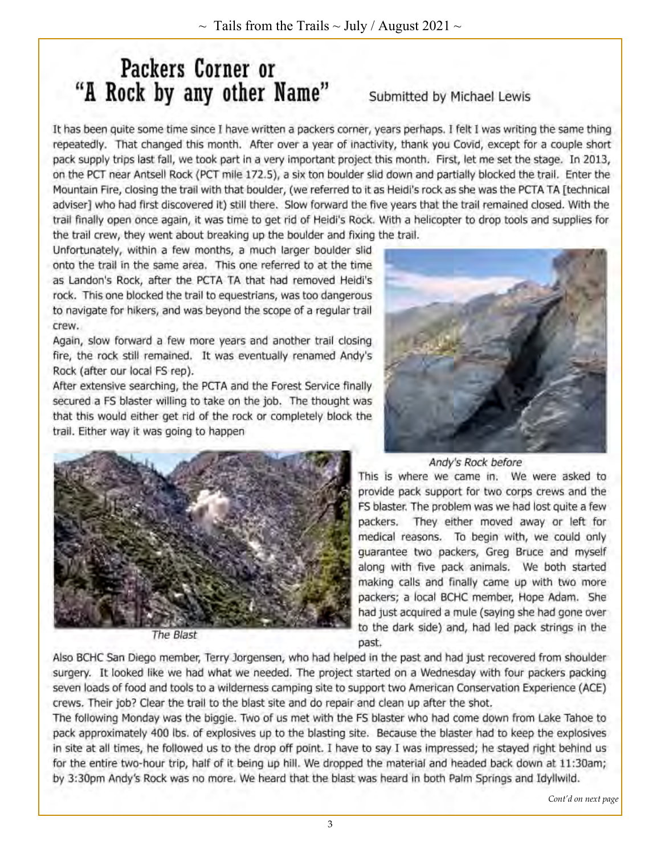# Packers Corner or "A Rock by any other Name"

# Submitted by Michael Lewis

It has been quite some time since I have written a packers corner, years perhaps. I felt I was writing the same thing repeatedly. That changed this month. After over a year of inactivity, thank you Covid, except for a couple short pack supply trips last fall, we took part in a very important project this month. First, let me set the stage. In 2013, on the PCT near Antsell Rock (PCT mile 172.5), a six ton boulder slid down and partially blocked the trail. Enter the Mountain Fire, closing the trail with that boulder, (we referred to it as Heidi's rock as she was the PCTA TA [technical adviser] who had first discovered it) still there. Slow forward the five years that the trail remained closed. With the trail finally open once again, it was time to get rid of Heidi's Rock. With a helicopter to drop tools and supplies for the trail crew, they went about breaking up the boulder and fixing the trail.

Unfortunately, within a few months, a much larger boulder slid onto the trail in the same area. This one referred to at the time as Landon's Rock, after the PCTA TA that had removed Heidi's rock. This one blocked the trail to equestrians, was too dangerous to navigate for hikers, and was beyond the scope of a regular trail crew.

Again, slow forward a few more years and another trail closing fire, the rock still remained. It was eventually renamed Andy's Rock (after our local FS rep).

After extensive searching, the PCTA and the Forest Service finally secured a FS blaster willing to take on the job. The thought was that this would either get rid of the rock or completely block the trail. Either way it was going to happen





The Blast

Andy's Rock before

This is where we came in. We were asked to provide pack support for two corps crews and the FS blaster. The problem was we had lost quite a few packers. They either moved away or left for medical reasons. To begin with, we could only guarantee two packers, Greg Bruce and myself along with five pack animals. We both started making calls and finally came up with two more packers; a local BCHC member, Hope Adam. She had just acquired a mule (saying she had gone over to the dark side) and, had led pack strings in the past.

Also BCHC San Diego member, Terry Jorgensen, who had helped in the past and had just recovered from shoulder surgery. It looked like we had what we needed. The project started on a Wednesday with four packers packing seven loads of food and tools to a wilderness camping site to support two American Conservation Experience (ACE) crews. Their job? Clear the trail to the blast site and do repair and clean up after the shot.

The following Monday was the biggie. Two of us met with the FS blaster who had come down from Lake Tahoe to pack approximately 400 lbs. of explosives up to the blasting site. Because the blaster had to keep the explosives in site at all times, he followed us to the drop off point. I have to say I was impressed; he stayed right behind us for the entire two-hour trip, half of it being up hill. We dropped the material and headed back down at 11:30am; by 3:30pm Andy's Rock was no more. We heard that the blast was heard in both Palm Springs and Idyllwild.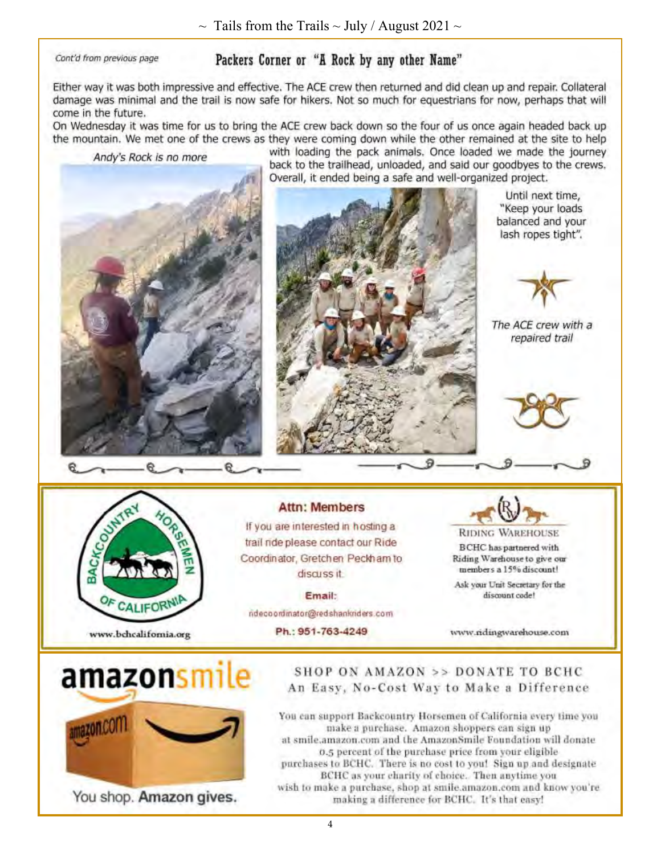Cont'd from previous page

# Packers Corner or "A Rock by any other Name"

Either way it was both impressive and effective. The ACE crew then returned and did clean up and repair. Collateral damage was minimal and the trail is now safe for hikers. Not so much for equestrians for now, perhaps that will come in the future.

On Wednesday it was time for us to bring the ACE crew back down so the four of us once again headed back up the mountain. We met one of the crews as they were coming down while the other remained at the site to help

Andy's Rock is no more



with loading the pack animals. Once loaded we made the journey back to the trailhead, unloaded, and said our goodbyes to the crews. Overall, it ended being a safe and well-organized project.



Until next time, "Keep your loads balanced and your lash ropes tight".



The ACE crew with a repaired trail



#### **Attn: Members**

If you are interested in hosting a trail ride please contact our Ride Coordinator, Gretchen Peckham to discuss it.

**Email:** ndecoordinator@redshankriders.com

Ph.: 951-763-4249



**BCHC** has partnered with Riding Warehouse to give our members a 15% discount!

Ask your Unit Secretary for the discount code!

www.ridingwarehouse.com



You shop. Amazon gives.

# SHOP ON AMAZON >> DONATE TO BCHC An Easy, No-Cost Way to Make a Difference

You can support Backcountry Horsemen of California every time you make a purchase. Amazon shoppers can sign up at smile,amazon.com and the AmazonSmile Foundation will donate 0.5 percent of the purchase price from your eligible purchases to BCHC. There is no cost to you! Sign up and designate BCHC as your charity of choice. Then anytime you wish to make a purchase, shop at smile.amazon.com and know you're making a difference for BCHC. It's that easy!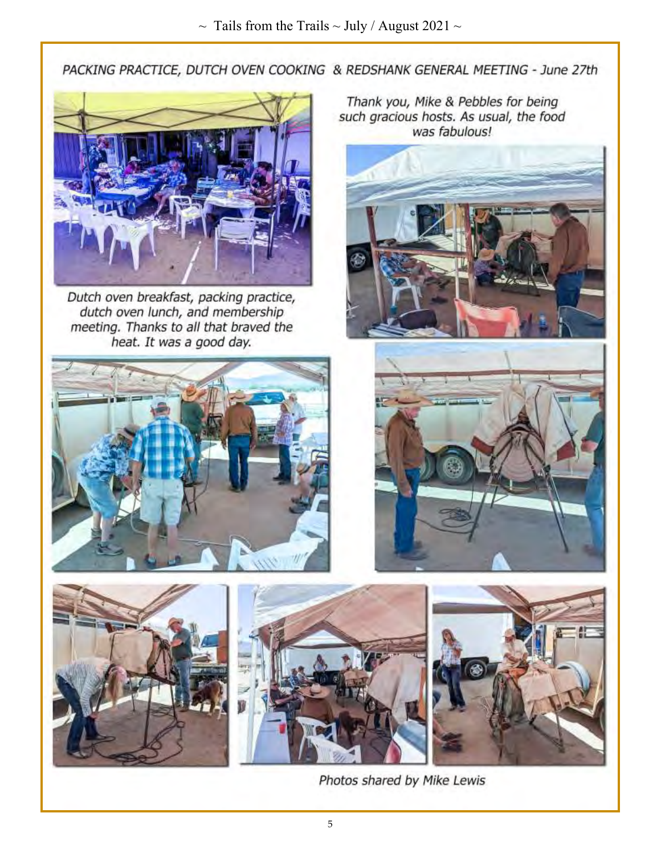PACKING PRACTICE, DUTCH OVEN COOKING & REDSHANK GENERAL MEETING - June 27th



Dutch oven breakfast, packing practice, dutch oven lunch, and membership meeting. Thanks to all that braved the heat. It was a good day.











Photos shared by Mike Lewis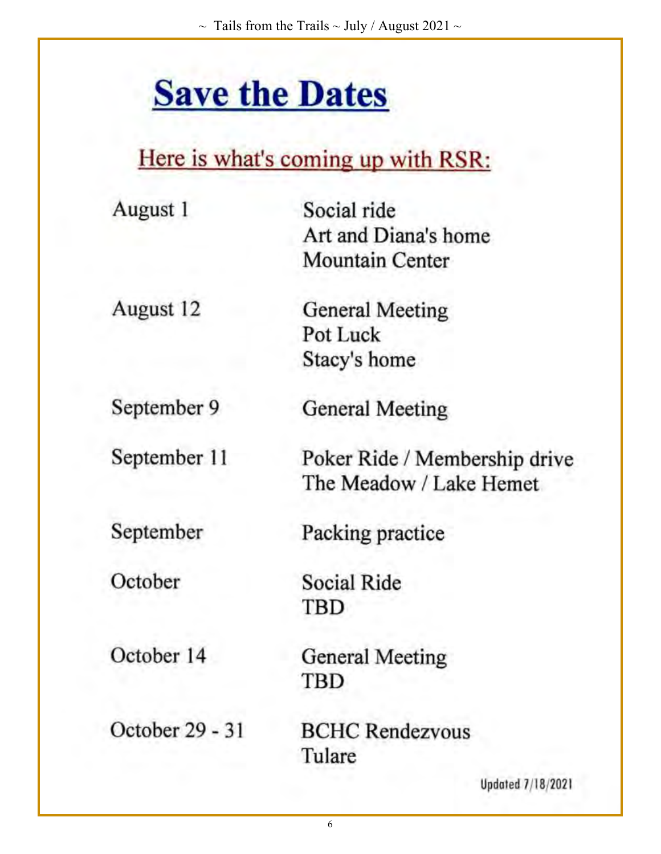# **Save the Dates**

# Here is what's coming up with RSR:

| August 1        | Social ride                   |
|-----------------|-------------------------------|
|                 | Art and Diana's home          |
|                 | <b>Mountain Center</b>        |
| August 12       | <b>General Meeting</b>        |
|                 | Pot Luck                      |
|                 | Stacy's home                  |
| September 9     | <b>General Meeting</b>        |
| September 11    | Poker Ride / Membership drive |
|                 | The Meadow / Lake Hemet       |
| September       | Packing practice              |
| October         | Social Ride                   |
|                 | TBD                           |
| October 14      | <b>General Meeting</b>        |
|                 | TBD                           |
| October 29 - 31 | <b>BCHC Rendezvous</b>        |
|                 | Tulare                        |
|                 | <b>Updated 7/18/2021</b>      |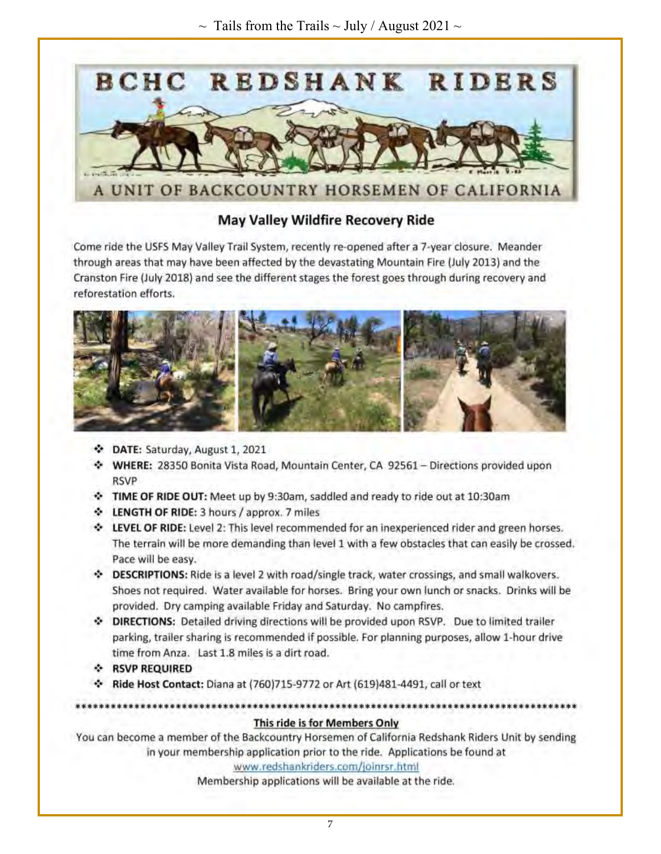

# **May Valley Wildfire Recovery Ride**

Come ride the USFS May Valley Trail System, recently re-opened after a 7-year closure. Meander through areas that may have been affected by the devastating Mountain Fire (July 2013) and the Cranston Fire (July 2018) and see the different stages the forest goes through during recovery and reforestation efforts.



- DATE: Saturday, August 1, 2021
- WHERE: 28350 Bonita Vista Road, Mountain Center, CA 92561 Directions provided upon **RSVP**
- TIME OF RIDE OUT: Meet up by 9:30am, saddled and ready to ride out at 10:30am
- LENGTH OF RIDE: 3 hours / approx. 7 miles

\*\*\*\*\*\*\*\*\*\*\*\*\*\*\*\*\*\*\*\*\*\*\*\*\*

- LEVEL OF RIDE: Level 2: This level recommended for an inexperienced rider and green horses. The terrain will be more demanding than level 1 with a few obstacles that can easily be crossed. Pace will be easy.
- DESCRIPTIONS: Ride is a level 2 with road/single track, water crossings, and small walkovers. Shoes not required. Water available for horses. Bring your own lunch or snacks. Drinks will be provided. Dry camping available Friday and Saturday. No campfires.
- DIRECTIONS: Detailed driving directions will be provided upon RSVP. Due to limited trailer parking, trailer sharing is recommended if possible. For planning purposes, allow 1-hour drive time from Anza. Last 1.8 miles is a dirt road.
- **A RSVP REQUIRED**
- \* Ride Host Contact: Diana at (760)715-9772 or Art (619)481-4491, call or text

### This ride is for Members Only

\*\*\*\*\*\*\*\*\*\*\*\*\*\*\*\*\*\*\*\*\*\*\*\*\*\*\*\*\*\*\*\*\*\*\*

You can become a member of the Backcountry Horsemen of California Redshank Riders Unit by sending in your membership application prior to the ride. Applications be found at

#### www.redshankriders.com/joinrsr.html

Membership applications will be available at the ride.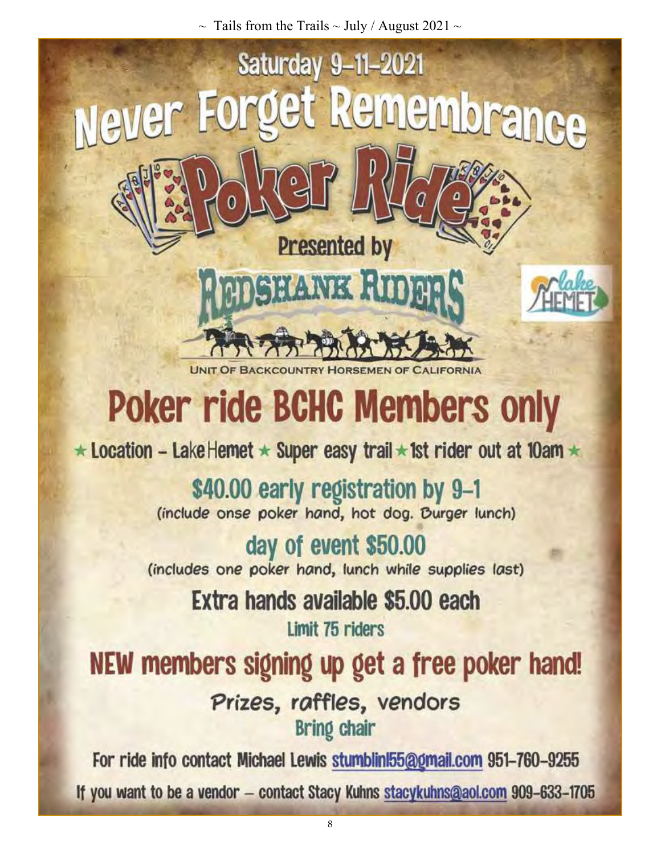$\sim$  Tails from the Trails  $\sim$  July / August 2021  $\sim$ 



# **Poker ride BCHC Members only**

★ Location - Lake Hemet \* Super easy trail \* 1st rider out at 10am \*

\$40.00 early registration by 9-1<br>(include onse poker hand, hot dog. Burger lunch)

day of event \$50.00 (includes one poker hand, lunch while supplies last)

> Extra hands available \$5.00 each Limit 75 riders

NEW members signing up get a free poker hand!

Prizes, raffles, vendors **Bring chair** 

For ride info contact Michael Lewis stumblin 55@gmail.com 951-760-9255 If you want to be a vendor - contact Stacy Kuhns stacykuhns@aol.com 909-633-1705

8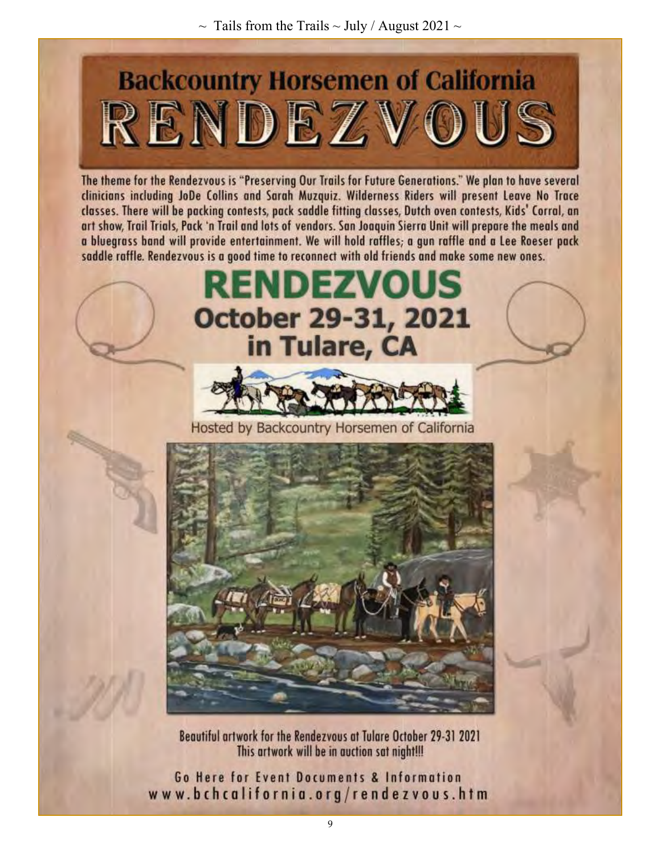